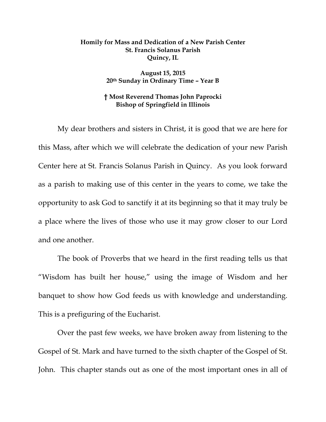## **Homily for Mass and Dedication of a New Parish Center St. Francis Solanus Parish Quincy, IL**

## **August 15, 2015 20th Sunday in Ordinary Time – Year B**

## **† Most Reverend Thomas John Paprocki Bishop of Springfield in Illinois**

My dear brothers and sisters in Christ, it is good that we are here for this Mass, after which we will celebrate the dedication of your new Parish Center here at St. Francis Solanus Parish in Quincy. As you look forward as a parish to making use of this center in the years to come, we take the opportunity to ask God to sanctify it at its beginning so that it may truly be a place where the lives of those who use it may grow closer to our Lord and one another.

The book of Proverbs that we heard in the first reading tells us that "Wisdom has built her house," using the image of Wisdom and her banquet to show how God feeds us with knowledge and understanding. This is a prefiguring of the Eucharist.

Over the past few weeks, we have broken away from listening to the Gospel of St. Mark and have turned to the sixth chapter of the Gospel of St. John. This chapter stands out as one of the most important ones in all of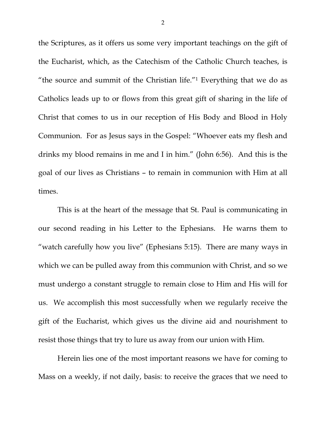the Scriptures, as it offers us some very important teachings on the gift of the Eucharist, which, as the Catechism of the Catholic Church teaches, is "the source and summit of the Christian life."1 Everything that we do as Catholics leads up to or flows from this great gift of sharing in the life of Christ that comes to us in our reception of His Body and Blood in Holy Communion. For as Jesus says in the Gospel: "Whoever eats my flesh and drinks my blood remains in me and I in him." (John 6:56). And this is the goal of our lives as Christians – to remain in communion with Him at all times.

This is at the heart of the message that St. Paul is communicating in our second reading in his Letter to the Ephesians. He warns them to "watch carefully how you live" (Ephesians 5:15). There are many ways in which we can be pulled away from this communion with Christ, and so we must undergo a constant struggle to remain close to Him and His will for us. We accomplish this most successfully when we regularly receive the gift of the Eucharist, which gives us the divine aid and nourishment to resist those things that try to lure us away from our union with Him.

Herein lies one of the most important reasons we have for coming to Mass on a weekly, if not daily, basis: to receive the graces that we need to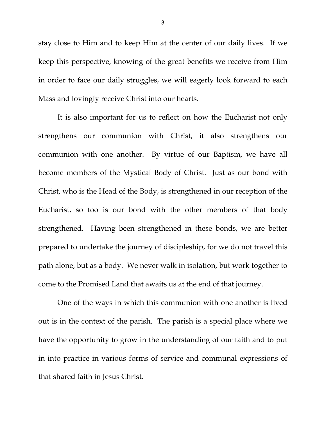stay close to Him and to keep Him at the center of our daily lives. If we keep this perspective, knowing of the great benefits we receive from Him in order to face our daily struggles, we will eagerly look forward to each Mass and lovingly receive Christ into our hearts.

It is also important for us to reflect on how the Eucharist not only strengthens our communion with Christ, it also strengthens our communion with one another. By virtue of our Baptism, we have all become members of the Mystical Body of Christ. Just as our bond with Christ, who is the Head of the Body, is strengthened in our reception of the Eucharist, so too is our bond with the other members of that body strengthened. Having been strengthened in these bonds, we are better prepared to undertake the journey of discipleship, for we do not travel this path alone, but as a body. We never walk in isolation, but work together to come to the Promised Land that awaits us at the end of that journey.

One of the ways in which this communion with one another is lived out is in the context of the parish. The parish is a special place where we have the opportunity to grow in the understanding of our faith and to put in into practice in various forms of service and communal expressions of that shared faith in Jesus Christ.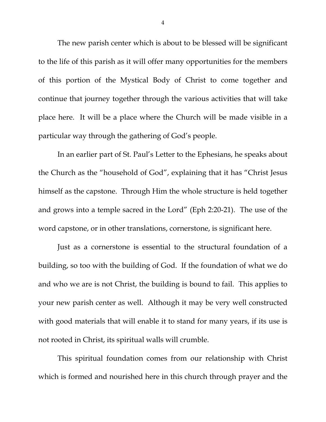The new parish center which is about to be blessed will be significant to the life of this parish as it will offer many opportunities for the members of this portion of the Mystical Body of Christ to come together and continue that journey together through the various activities that will take place here. It will be a place where the Church will be made visible in a particular way through the gathering of God's people.

In an earlier part of St. Paul's Letter to the Ephesians, he speaks about the Church as the "household of God", explaining that it has "Christ Jesus himself as the capstone. Through Him the whole structure is held together and grows into a temple sacred in the Lord" (Eph 2:20-21). The use of the word capstone, or in other translations, cornerstone, is significant here.

Just as a cornerstone is essential to the structural foundation of a building, so too with the building of God. If the foundation of what we do and who we are is not Christ, the building is bound to fail. This applies to your new parish center as well. Although it may be very well constructed with good materials that will enable it to stand for many years, if its use is not rooted in Christ, its spiritual walls will crumble.

This spiritual foundation comes from our relationship with Christ which is formed and nourished here in this church through prayer and the

4